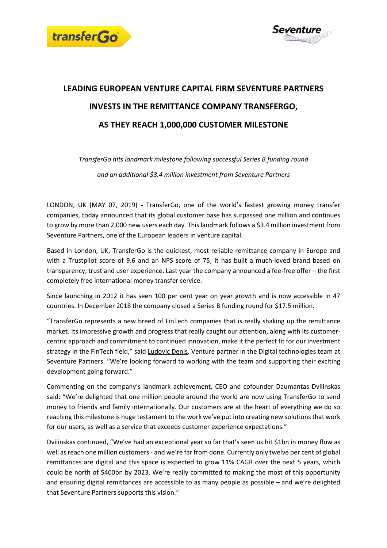



## **LEADING EUROPEAN VENTURE CAPITAL FIRM SEVENTURE PARTNERS INVESTS IN THE REMITTANCE COMPANY TRANSFERGO, AS THEY REACH 1,000,000 CUSTOMER MILESTONE**

*TransferGo hits landmark milestone following successful Series B funding round and an additional \$3.4 million investment from Seventure Partners* 

LONDON, UK (MAY 07, 2019) **-** TransferGo, one of the world's fastest growing money transfer companies, today announced that its global customer base has surpassed one million and continues to grow by more than 2,000 new users each day. This landmark follows a \$3.4 million investment from Seventure Partners, one of the European leaders in venture capital.

Based in London, UK, TransferGo is the quickest, most reliable remittance company in Europe and with a Trustpilot score of 9.6 and an NPS score of 75, it has built a much-loved brand based on transparency, trust and user experience. Last year the company announced a fee-free offer – the first completely free international money transfer service.

Since launching in 2012 it has seen 100 per cent year on year growth and is now accessible in 47 countries. In December 2018 the company closed a Series B funding round for \$17.5 million.

"TransferGo represents a new breed of FinTech companies that is really shaking up the remittance market. Its impressive growth and progress that really caught our attention, along with its customercentric approach and commitment to continued innovation, make it the perfect fit for our investment strategy in the FinTech field," said [Ludovic](https://www.linkedin.com/in/ludovicdenis/) Denis, Venture partner in the Digital technologies team at Seventure Partners. "We're looking forward to working with the team and supporting their exciting development going forward."

Commenting on the company's landmark achievement, CEO and cofounder Daumantas Dvilinskas said: "We're delighted that one million people around the world are now using TransferGo to send money to friends and family internationally. Our customers are at the heart of everything we do so reaching this milestone is huge testament to the work we've put into creating new solutionsthat work for our users, as well as a service that exceeds customer experience expectations."

Dvilinskas continued, "We've had an exceptional year so far that's seen us hit \$1bn in money flow as well as reach one million customers - and we're far from done. Currently only twelve per cent of global remittances are digital and this space is expected to grow 11% CAGR over the next 5 years, which could be north of \$400bn by 2023. We're really committed to making the most of this opportunity and ensuring digital remittances are accessible to as many people as possible – and we're delighted that Seventure Partners supports this vision."